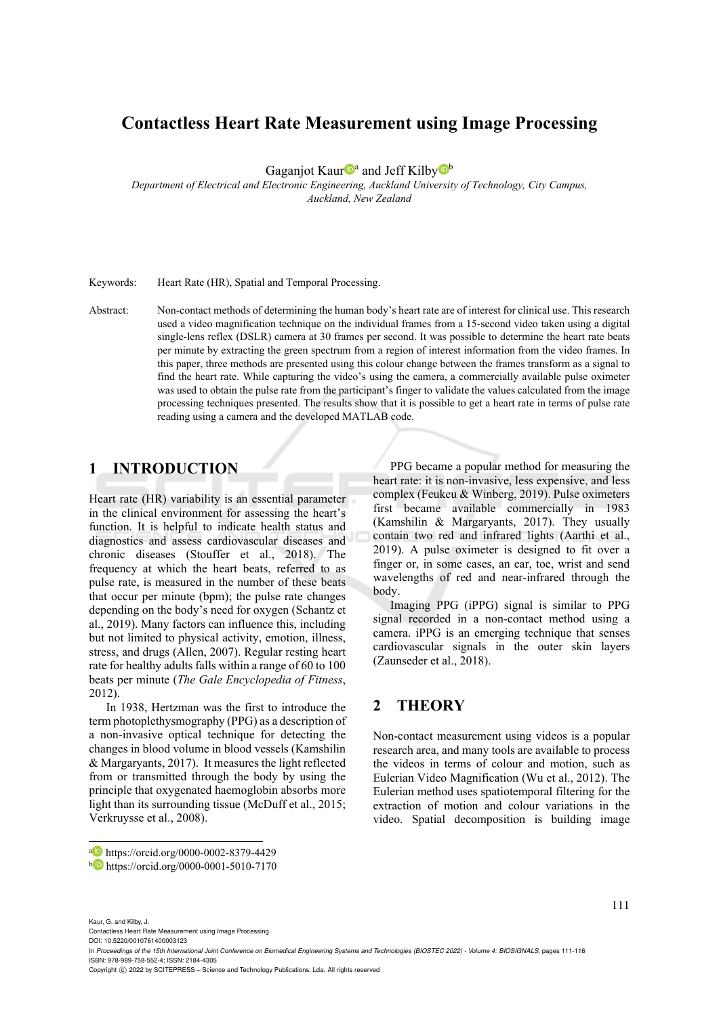# **Contactless Heart Rate Measurement using Image Processing**

Gaganjot Kaur<sup>n</sup><sup>a</sup> and Jeff Kilby<sup>n</sup>

*Department of Electrical and Electronic Engineering, Auckland University of Technology, City Campus, Auckland, New Zealand* 

Keywords: Heart Rate (HR), Spatial and Temporal Processing.

Abstract: Non-contact methods of determining the human body's heart rate are of interest for clinical use. This research used a video magnification technique on the individual frames from a 15-second video taken using a digital single-lens reflex (DSLR) camera at 30 frames per second. It was possible to determine the heart rate beats per minute by extracting the green spectrum from a region of interest information from the video frames. In this paper, three methods are presented using this colour change between the frames transform as a signal to find the heart rate. While capturing the video's using the camera, a commercially available pulse oximeter was used to obtain the pulse rate from the participant's finger to validate the values calculated from the image processing techniques presented. The results show that it is possible to get a heart rate in terms of pulse rate reading using a camera and the developed MATLAB code.

# **1 INTRODUCTION**

Heart rate (HR) variability is an essential parameter in the clinical environment for assessing the heart's function. It is helpful to indicate health status and diagnostics and assess cardiovascular diseases and chronic diseases (Stouffer et al., 2018). The frequency at which the heart beats, referred to as pulse rate, is measured in the number of these beats that occur per minute (bpm); the pulse rate changes depending on the body's need for oxygen (Schantz et al., 2019). Many factors can influence this, including but not limited to physical activity, emotion, illness, stress, and drugs (Allen, 2007). Regular resting heart rate for healthy adults falls within a range of 60 to 100 beats per minute (*The Gale Encyclopedia of Fitness*, 2012).

In 1938, Hertzman was the first to introduce the term photoplethysmography (PPG) as a description of a non-invasive optical technique for detecting the changes in blood volume in blood vessels (Kamshilin & Margaryants, 2017). It measures the light reflected from or transmitted through the body by using the principle that oxygenated haemoglobin absorbs more light than its surrounding tissue (McDuff et al., 2015; Verkruysse et al., 2008).

PPG became a popular method for measuring the heart rate: it is non-invasive, less expensive, and less complex (Feukeu & Winberg, 2019). Pulse oximeters first became available commercially in 1983 (Kamshilin & Margaryants, 2017). They usually contain two red and infrared lights (Aarthi et al., 2019). A pulse oximeter is designed to fit over a finger or, in some cases, an ear, toe, wrist and send wavelengths of red and near-infrared through the body.

Imaging PPG (iPPG) signal is similar to PPG signal recorded in a non-contact method using a camera. iPPG is an emerging technique that senses cardiovascular signals in the outer skin layers (Zaunseder et al., 2018).

# **2 THEORY**

Non-contact measurement using videos is a popular research area, and many tools are available to process the videos in terms of colour and motion, such as Eulerian Video Magnification (Wu et al., 2012). The Eulerian method uses spatiotemporal filtering for the extraction of motion and colour variations in the video. Spatial decomposition is building image

Kaur, G. and Kilby, J.

Contactless Heart Rate Measurement using Image Processing.

DOI: 10.5220/0010761400003123

In *Proceedings of the 15th International Joint Conference on Biomedical Engineering Systems and Technologies (BIOSTEC 2022) - Volume 4: BIOSIGNALS*, pages 111-116 ISBN: 978-989-758-552-4; ISSN: 2184-4305

a https://orcid.org/0000-0002-8379-4429<br>b https://orcid.org/0000-0001-5010-7170

Copyright (C) 2022 by SCITEPRESS - Science and Technology Publications, Lda. All rights reserved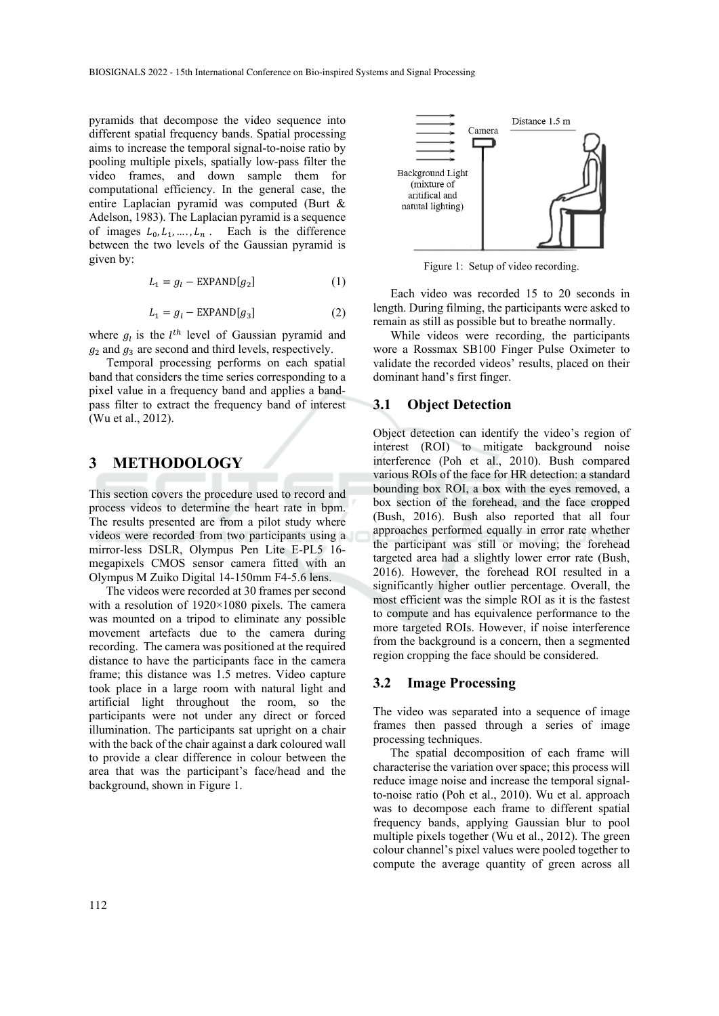pyramids that decompose the video sequence into different spatial frequency bands. Spatial processing aims to increase the temporal signal-to-noise ratio by pooling multiple pixels, spatially low-pass filter the video frames, and down sample them for computational efficiency. In the general case, the entire Laplacian pyramid was computed (Burt & Adelson, 1983). The Laplacian pyramid is a sequence of images  $L_0, L_1, \ldots, L_n$ . Each is the difference between the two levels of the Gaussian pyramid is given by:

$$
L_1 = g_l - EXPAND[g_2] \tag{1}
$$

$$
L_1 = g_l - EXPAND[g_3]
$$
 (2)

where  $g_l$  is the  $l^{th}$  level of Gaussian pyramid and  $g_2$  and  $g_3$  are second and third levels, respectively.

Temporal processing performs on each spatial band that considers the time series corresponding to a pixel value in a frequency band and applies a bandpass filter to extract the frequency band of interest (Wu et al., 2012).

## **3 METHODOLOGY**

This section covers the procedure used to record and process videos to determine the heart rate in bpm. The results presented are from a pilot study where videos were recorded from two participants using a mirror-less DSLR, Olympus Pen Lite E-PL5 16 megapixels CMOS sensor camera fitted with an Olympus M Zuiko Digital 14-150mm F4-5.6 lens.

The videos were recorded at 30 frames per second with a resolution of 1920×1080 pixels. The camera was mounted on a tripod to eliminate any possible movement artefacts due to the camera during recording. The camera was positioned at the required distance to have the participants face in the camera frame; this distance was 1.5 metres. Video capture took place in a large room with natural light and artificial light throughout the room, so the participants were not under any direct or forced illumination. The participants sat upright on a chair with the back of the chair against a dark coloured wall to provide a clear difference in colour between the area that was the participant's face/head and the background, shown in Figure 1.



Figure 1: Setup of video recording.

Each video was recorded 15 to 20 seconds in length. During filming, the participants were asked to remain as still as possible but to breathe normally.

While videos were recording, the participants wore a Rossmax SB100 Finger Pulse Oximeter to validate the recorded videos' results, placed on their dominant hand's first finger.

#### **3.1 Object Detection**

Object detection can identify the video's region of interest (ROI) to mitigate background noise interference (Poh et al., 2010). Bush compared various ROIs of the face for HR detection: a standard bounding box ROI, a box with the eyes removed, a box section of the forehead, and the face cropped (Bush, 2016). Bush also reported that all four approaches performed equally in error rate whether the participant was still or moving; the forehead targeted area had a slightly lower error rate (Bush, 2016). However, the forehead ROI resulted in a significantly higher outlier percentage. Overall, the most efficient was the simple ROI as it is the fastest to compute and has equivalence performance to the more targeted ROIs. However, if noise interference from the background is a concern, then a segmented region cropping the face should be considered.

#### **3.2 Image Processing**

The video was separated into a sequence of image frames then passed through a series of image processing techniques.

The spatial decomposition of each frame will characterise the variation over space; this process will reduce image noise and increase the temporal signalto-noise ratio (Poh et al., 2010). Wu et al. approach was to decompose each frame to different spatial frequency bands, applying Gaussian blur to pool multiple pixels together (Wu et al., 2012). The green colour channel's pixel values were pooled together to compute the average quantity of green across all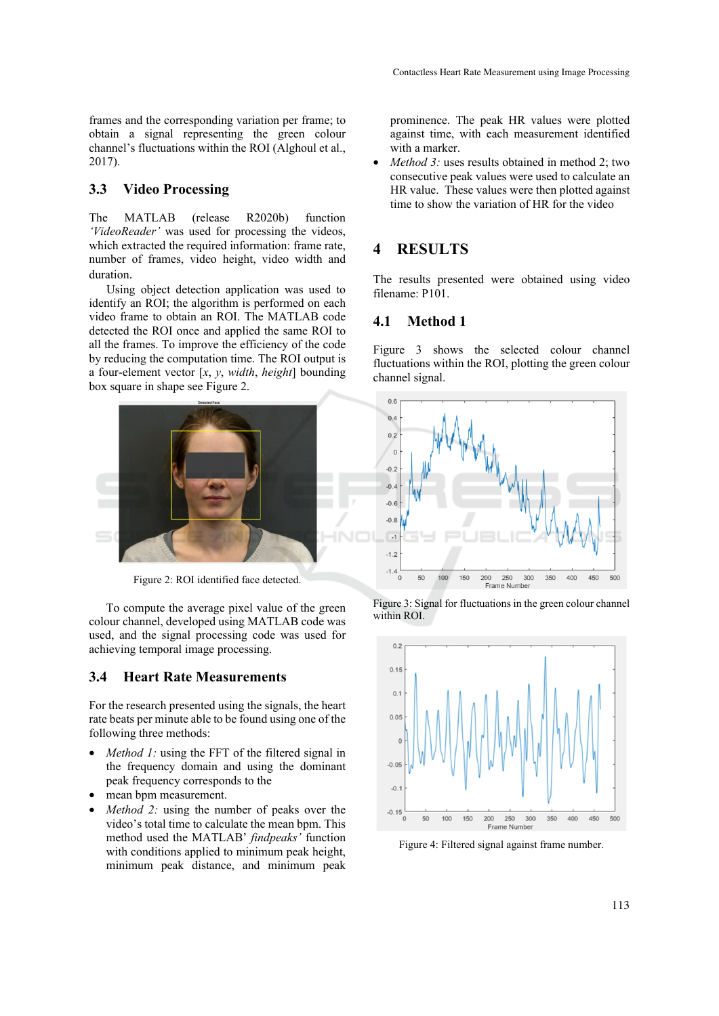frames and the corresponding variation per frame; to obtain a signal representing the green colour channel's fluctuations within the ROI (Alghoul et al., 2017).

#### **3.3 Video Processing**

The MATLAB (release R2020b) function *'VideoReader'* was used for processing the videos, which extracted the required information: frame rate, number of frames, video height, video width and duration.

Using object detection application was used to identify an ROI; the algorithm is performed on each video frame to obtain an ROI. The MATLAB code detected the ROI once and applied the same ROI to all the frames. To improve the efficiency of the code by reducing the computation time. The ROI output is a four-element vector [*x*, *y*, *width*, *height*] bounding box square in shape see Figure 2.



Figure 2: ROI identified face detected.

To compute the average pixel value of the green colour channel, developed using MATLAB code was used, and the signal processing code was used for achieving temporal image processing.

#### **3.4 Heart Rate Measurements**

For the research presented using the signals, the heart rate beats per minute able to be found using one of the following three methods:

- *Method 1:* using the FFT of the filtered signal in the frequency domain and using the dominant peak frequency corresponds to the
- mean bpm measurement.
- *Method 2:* using the number of peaks over the video's total time to calculate the mean bpm. This method used the MATLAB' *findpeaks'* function with conditions applied to minimum peak height, minimum peak distance, and minimum peak

prominence. The peak HR values were plotted against time, with each measurement identified with a marker.

*Method 3:* uses results obtained in method 2; two consecutive peak values were used to calculate an HR value. These values were then plotted against time to show the variation of HR for the video

## **4 RESULTS**

The results presented were obtained using video filename: P101.

#### **4.1 Method 1**

Figure 3 shows the selected colour channel fluctuations within the ROI, plotting the green colour channel signal.







Figure 4: Filtered signal against frame number.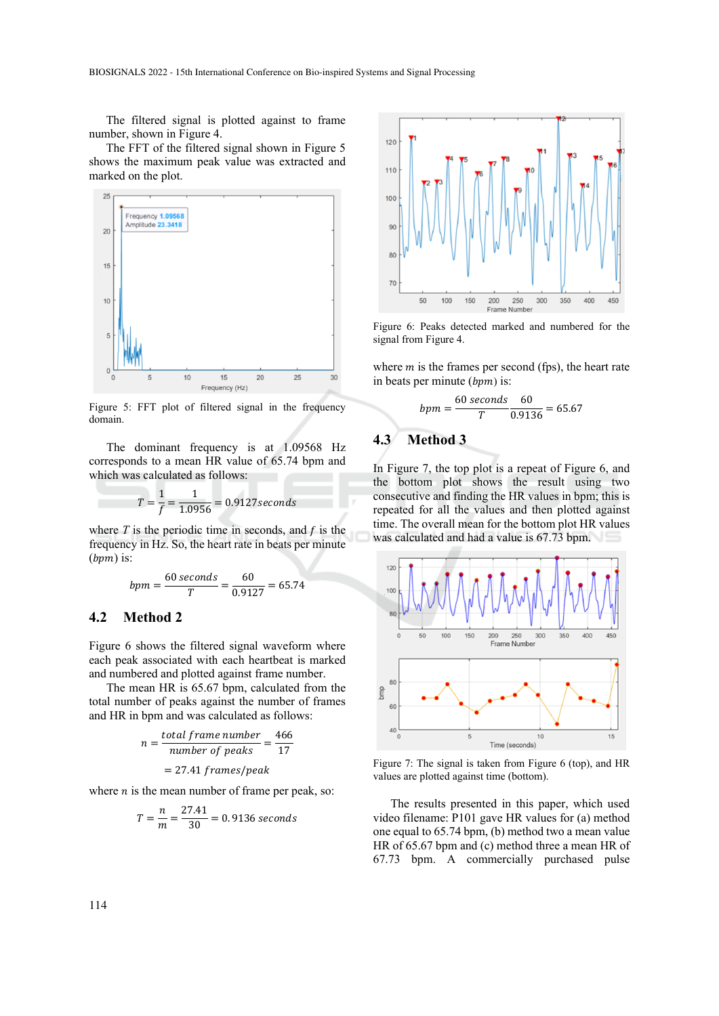The filtered signal is plotted against to frame number, shown in Figure 4.

The FFT of the filtered signal shown in Figure 5 shows the maximum peak value was extracted and marked on the plot.



Figure 5: FFT plot of filtered signal in the frequency domain.

The dominant frequency is at 1.09568 Hz corresponds to a mean HR value of 65.74 bpm and which was calculated as follows:

$$
T = \frac{1}{f} = \frac{1}{1.0956} = 0.9127 seconds
$$

where  $T$  is the periodic time in seconds, and  $f$  is the frequency in Hz. So, the heart rate in beats per minute  $(bpm)$  is:

$$
bpm = \frac{60 \text{ seconds}}{T} = \frac{60}{0.9127} = 65.74
$$

#### **4.2 Method 2**

Figure 6 shows the filtered signal waveform where each peak associated with each heartbeat is marked and numbered and plotted against frame number.

The mean HR is 65.67 bpm, calculated from the total number of peaks against the number of frames and HR in bpm and was calculated as follows:

$$
n = \frac{total\ frame\ number}{number\ of\ peaks} = \frac{466}{17}
$$

$$
= 27.41\ frames/peak
$$

where  $n$  is the mean number of frame per peak, so:

$$
T = \frac{n}{m} = \frac{27.41}{30} = 0.9136 seconds
$$



Figure 6: Peaks detected marked and numbered for the signal from Figure 4.

where  $m$  is the frames per second (fps), the heart rate in beats per minute  $(bpm)$  is:

$$
bpm = \frac{60 \text{ seconds}}{T} \frac{60}{0.9136} = 65.67
$$

### **4.3 Method 3**

In Figure 7, the top plot is a repeat of Figure 6, and the bottom plot shows the result using two consecutive and finding the HR values in bpm; this is repeated for all the values and then plotted against time. The overall mean for the bottom plot HR values was calculated and had a value is 67.73 bpm.



Figure 7: The signal is taken from Figure 6 (top), and HR values are plotted against time (bottom).

The results presented in this paper, which used video filename: P101 gave HR values for (a) method one equal to 65.74 bpm, (b) method two a mean value HR of 65.67 bpm and (c) method three a mean HR of 67.73 bpm. A commercially purchased pulse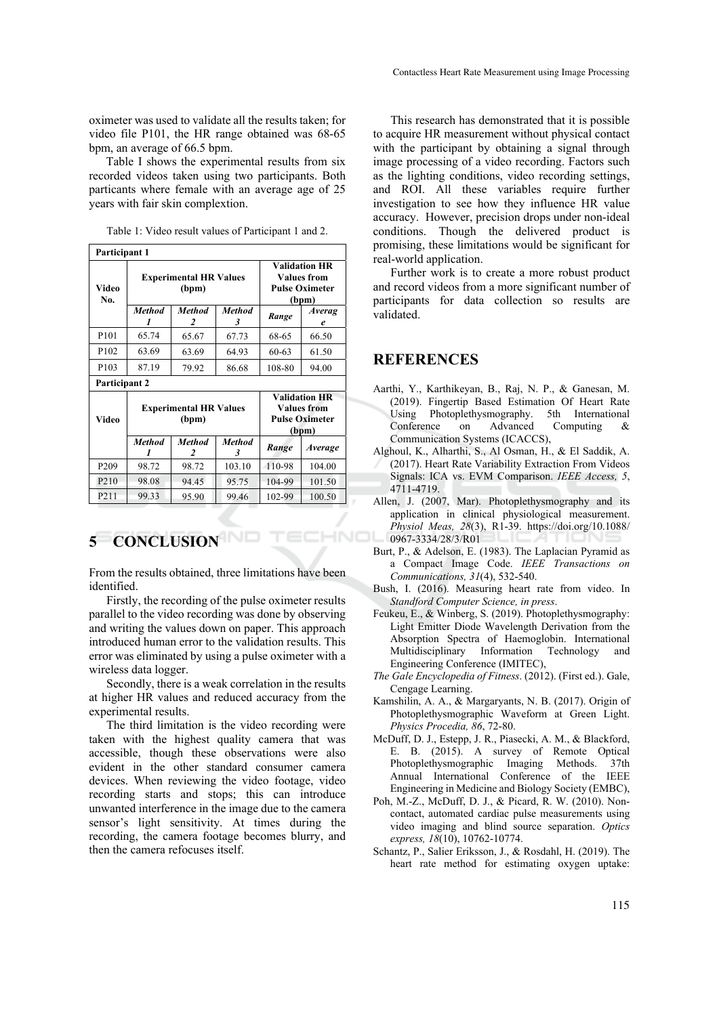oximeter was used to validate all the results taken; for video file P101, the HR range obtained was 68-65 bpm, an average of 66.5 bpm.

Table I shows the experimental results from six recorded videos taken using two participants. Both particants where female with an average age of 25 years with fair skin complextion.

Table 1: Video result values of Participant 1 and 2.

| Participant 1     |                                        |                    |                    |                                                                              |                    |
|-------------------|----------------------------------------|--------------------|--------------------|------------------------------------------------------------------------------|--------------------|
| Video<br>No.      | <b>Experimental HR Values</b><br>(bpm) |                    |                    | <b>Validation HR</b><br><b>Values from</b><br><b>Pulse Oximeter</b><br>(bpm) |                    |
|                   | <b>Method</b>                          | <b>Method</b><br>2 | <b>Method</b><br>3 | Range                                                                        | <b>Averag</b><br>e |
| P101              | 65.74                                  | 65.67              | 67.73              | 68-65                                                                        | 66.50              |
| P <sub>102</sub>  | 63.69                                  | 63.69              | 64.93              | $60 - 63$                                                                    | 61.50              |
| P <sub>103</sub>  | 87.19                                  | 79.92              | 86.68              | 108-80                                                                       | 94.00              |
| Participant 2     |                                        |                    |                    |                                                                              |                    |
| Video             | <b>Experimental HR Values</b><br>(bpm) |                    |                    | <b>Validation HR</b><br><b>Values from</b><br><b>Pulse Oximeter</b><br>(bpm) |                    |
|                   | <b>Method</b>                          | <b>Method</b><br>2 | <b>Method</b><br>3 | Range                                                                        | <b>Average</b>     |
| P <sub>209</sub>  | 98.72                                  | 98.72              | 103.10             | 110-98                                                                       | 104.00             |
| P <sub>2</sub> 10 | 98.08                                  | 94.45              | 95.75              | 104-99                                                                       | 101.50             |
| P <sub>2</sub> 11 | 99.33                                  | 95.90              | 99.46              | 102-99                                                                       | 100.50             |

# **5 CONCLUSION**

From the results obtained, three limitations have been identified.

Firstly, the recording of the pulse oximeter results parallel to the video recording was done by observing and writing the values down on paper. This approach introduced human error to the validation results. This error was eliminated by using a pulse oximeter with a wireless data logger.

Secondly, there is a weak correlation in the results at higher HR values and reduced accuracy from the experimental results.

The third limitation is the video recording were taken with the highest quality camera that was accessible, though these observations were also evident in the other standard consumer camera devices. When reviewing the video footage, video recording starts and stops; this can introduce unwanted interference in the image due to the camera sensor's light sensitivity. At times during the recording, the camera footage becomes blurry, and then the camera refocuses itself.

This research has demonstrated that it is possible to acquire HR measurement without physical contact with the participant by obtaining a signal through image processing of a video recording. Factors such as the lighting conditions, video recording settings, and ROI. All these variables require further investigation to see how they influence HR value accuracy. However, precision drops under non-ideal conditions. Though the delivered product is promising, these limitations would be significant for real-world application.

Further work is to create a more robust product and record videos from a more significant number of participants for data collection so results are validated.

### **REFERENCES**

- Aarthi, Y., Karthikeyan, B., Raj, N. P., & Ganesan, M. (2019). Fingertip Based Estimation Of Heart Rate Using Photoplethysmography. 5th International Conference on Advanced Computing Communication Systems (ICACCS),
- Alghoul, K., Alharthi, S., Al Osman, H., & El Saddik, A. (2017). Heart Rate Variability Extraction From Videos Signals: ICA vs. EVM Comparison. *IEEE Access, 5*, 4711-4719.
- Allen, J. (2007, Mar). Photoplethysmography and its application in clinical physiological measurement. *Physiol Meas, 28*(3), R1-39. https://doi.org/10.1088/ HNOI 0967-3334/28/3/R01
	- Burt, P., & Adelson, E. (1983). The Laplacian Pyramid as a Compact Image Code. *IEEE Transactions on Communications, 31*(4), 532-540.
	- Bush, I. (2016). Measuring heart rate from video. In *Standford Computer Science, in press*.
	- Feukeu, E., & Winberg, S. (2019). Photoplethysmography: Light Emitter Diode Wavelength Derivation from the Absorption Spectra of Haemoglobin. International Multidisciplinary Information Technology and Engineering Conference (IMITEC),
	- *The Gale Encyclopedia of Fitness*. (2012). (First ed.). Gale, Cengage Learning.
	- Kamshilin, A. A., & Margaryants, N. B. (2017). Origin of Photoplethysmographic Waveform at Green Light. *Physics Procedia, 86*, 72-80.
	- McDuff, D. J., Estepp, J. R., Piasecki, A. M., & Blackford, E. B. (2015). A survey of Remote Optical Photoplethysmographic Imaging Methods. 37th Annual International Conference of the IEEE Engineering in Medicine and Biology Society (EMBC),
	- Poh, M.-Z., McDuff, D. J., & Picard, R. W. (2010). Noncontact, automated cardiac pulse measurements using video imaging and blind source separation. *Optics express, 18*(10), 10762-10774.
	- Schantz, P., Salier Eriksson, J., & Rosdahl, H. (2019). The heart rate method for estimating oxygen uptake: